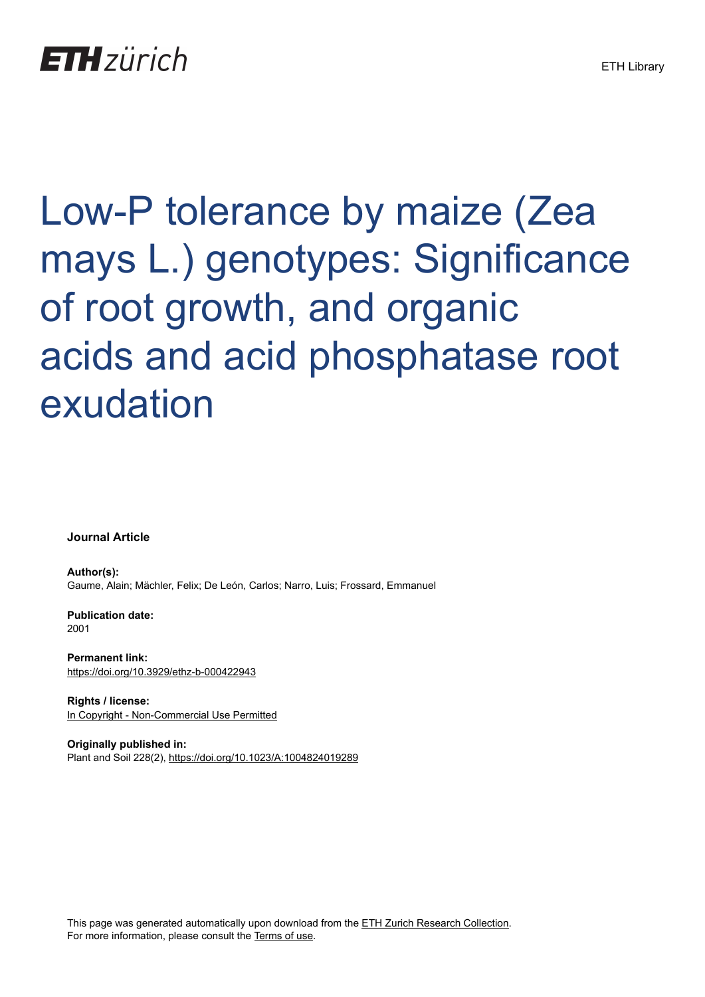## **ETH** zürich

# Low-P tolerance by maize (Zea mays L.) genotypes: Significance of root growth, and organic acids and acid phosphatase root exudation

**Journal Article**

**Author(s):** Gaume, Alain; Mächler, Felix; De León, Carlos; Narro, Luis; Frossard, Emmanuel

**Publication date:** 2001

**Permanent link:** <https://doi.org/10.3929/ethz-b-000422943>

**Rights / license:** [In Copyright - Non-Commercial Use Permitted](http://rightsstatements.org/page/InC-NC/1.0/)

**Originally published in:** Plant and Soil 228(2), <https://doi.org/10.1023/A:1004824019289>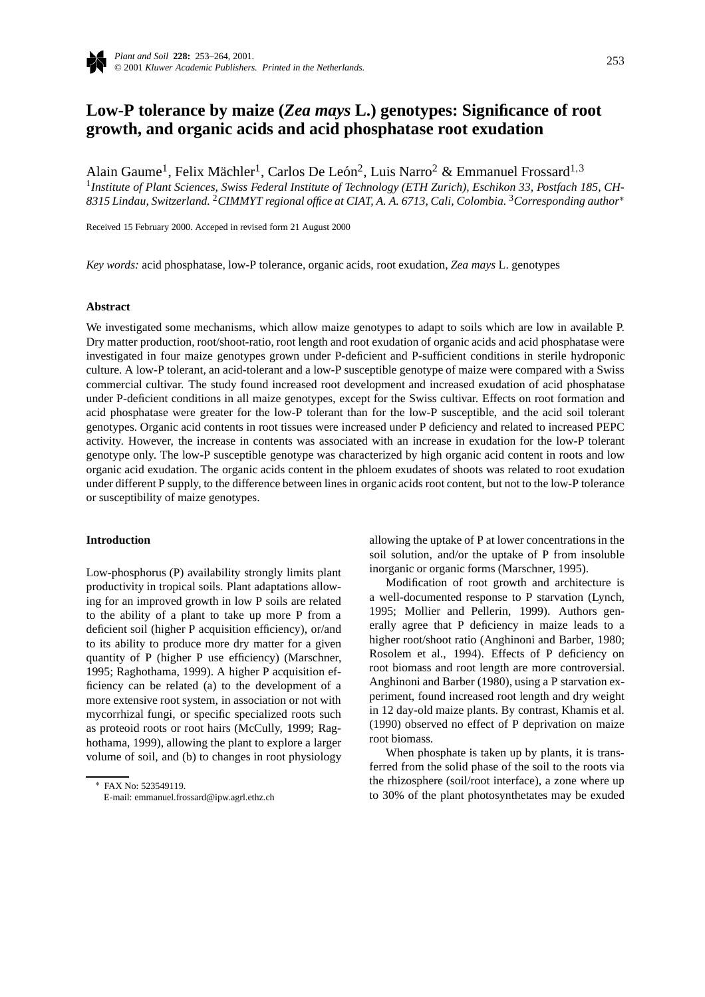### **Low-P tolerance by maize (***Zea mays* **L.) genotypes: Significance of root growth, and organic acids and acid phosphatase root exudation**

Alain Gaume<sup>1</sup>, Felix Mächler<sup>1</sup>, Carlos De León<sup>2</sup>, Luis Narro<sup>2</sup> & Emmanuel Frossard<sup>1,3</sup> <sup>1</sup>*Institute of Plant Sciences, Swiss Federal Institute of Technology (ETH Zurich), Eschikon 33, Postfach 185, CH-8315 Lindau, Switzerland.* <sup>2</sup>*CIMMYT regional office at CIAT, A. A. 6713, Cali, Colombia.* <sup>3</sup>*Corresponding author*<sup>∗</sup>

Received 15 February 2000. Acceped in revised form 21 August 2000

*Key words:* acid phosphatase, low-P tolerance, organic acids, root exudation, *Zea mays* L. genotypes

#### **Abstract**

We investigated some mechanisms, which allow maize genotypes to adapt to soils which are low in available P. Dry matter production, root/shoot-ratio, root length and root exudation of organic acids and acid phosphatase were investigated in four maize genotypes grown under P-deficient and P-sufficient conditions in sterile hydroponic culture. A low-P tolerant, an acid-tolerant and a low-P susceptible genotype of maize were compared with a Swiss commercial cultivar. The study found increased root development and increased exudation of acid phosphatase under P-deficient conditions in all maize genotypes, except for the Swiss cultivar. Effects on root formation and acid phosphatase were greater for the low-P tolerant than for the low-P susceptible, and the acid soil tolerant genotypes. Organic acid contents in root tissues were increased under P deficiency and related to increased PEPC activity. However, the increase in contents was associated with an increase in exudation for the low-P tolerant genotype only. The low-P susceptible genotype was characterized by high organic acid content in roots and low organic acid exudation. The organic acids content in the phloem exudates of shoots was related to root exudation under different P supply, to the difference between lines in organic acids root content, but not to the low-P tolerance or susceptibility of maize genotypes.

#### **Introduction**

Low-phosphorus (P) availability strongly limits plant productivity in tropical soils. Plant adaptations allowing for an improved growth in low P soils are related to the ability of a plant to take up more P from a deficient soil (higher P acquisition efficiency), or/and to its ability to produce more dry matter for a given quantity of P (higher P use efficiency) (Marschner, 1995; Raghothama, 1999). A higher P acquisition efficiency can be related (a) to the development of a more extensive root system, in association or not with mycorrhizal fungi, or specific specialized roots such as proteoid roots or root hairs (McCully, 1999; Raghothama, 1999), allowing the plant to explore a larger volume of soil, and (b) to changes in root physiology

allowing the uptake of P at lower concentrations in the soil solution, and/or the uptake of P from insoluble inorganic or organic forms (Marschner, 1995).

Modification of root growth and architecture is a well-documented response to P starvation (Lynch, 1995; Mollier and Pellerin, 1999). Authors generally agree that P deficiency in maize leads to a higher root/shoot ratio (Anghinoni and Barber, 1980; Rosolem et al., 1994). Effects of P deficiency on root biomass and root length are more controversial. Anghinoni and Barber (1980), using a P starvation experiment, found increased root length and dry weight in 12 day-old maize plants. By contrast, Khamis et al. (1990) observed no effect of P deprivation on maize root biomass.

When phosphate is taken up by plants, it is transferred from the solid phase of the soil to the roots via the rhizosphere (soil/root interface), a zone where up to 30% of the plant photosynthetates may be exuded

<sup>∗</sup> FAX No: 523549119.

E-mail: emmanuel.frossard@ipw.agrl.ethz.ch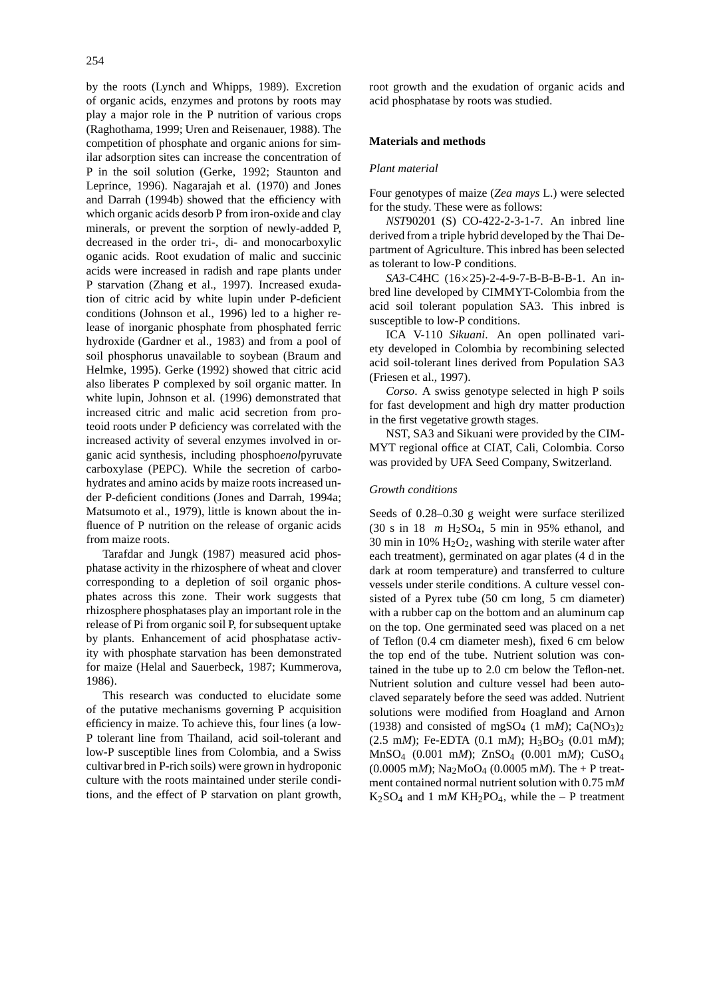by the roots (Lynch and Whipps, 1989). Excretion of organic acids, enzymes and protons by roots may play a major role in the P nutrition of various crops (Raghothama, 1999; Uren and Reisenauer, 1988). The competition of phosphate and organic anions for similar adsorption sites can increase the concentration of P in the soil solution (Gerke, 1992; Staunton and Leprince, 1996). Nagarajah et al. (1970) and Jones and Darrah (1994b) showed that the efficiency with which organic acids desorb P from iron-oxide and clay minerals, or prevent the sorption of newly-added P, decreased in the order tri-, di- and monocarboxylic oganic acids. Root exudation of malic and succinic acids were increased in radish and rape plants under P starvation (Zhang et al., 1997). Increased exudation of citric acid by white lupin under P-deficient conditions (Johnson et al., 1996) led to a higher release of inorganic phosphate from phosphated ferric hydroxide (Gardner et al., 1983) and from a pool of soil phosphorus unavailable to soybean (Braum and Helmke, 1995). Gerke (1992) showed that citric acid also liberates P complexed by soil organic matter. In white lupin, Johnson et al. (1996) demonstrated that increased citric and malic acid secretion from proteoid roots under P deficiency was correlated with the increased activity of several enzymes involved in organic acid synthesis, including phospho*enol*pyruvate carboxylase (PEPC). While the secretion of carbohydrates and amino acids by maize roots increased under P-deficient conditions (Jones and Darrah, 1994a; Matsumoto et al., 1979), little is known about the influence of P nutrition on the release of organic acids from maize roots.

Tarafdar and Jungk (1987) measured acid phosphatase activity in the rhizosphere of wheat and clover corresponding to a depletion of soil organic phosphates across this zone. Their work suggests that rhizosphere phosphatases play an important role in the release of Pi from organic soil P, for subsequent uptake by plants. Enhancement of acid phosphatase activity with phosphate starvation has been demonstrated for maize (Helal and Sauerbeck, 1987; Kummerova, 1986).

This research was conducted to elucidate some of the putative mechanisms governing P acquisition efficiency in maize. To achieve this, four lines (a low-P tolerant line from Thailand, acid soil-tolerant and low-P susceptible lines from Colombia, and a Swiss cultivar bred in P-rich soils) were grown in hydroponic culture with the roots maintained under sterile conditions, and the effect of P starvation on plant growth, root growth and the exudation of organic acids and acid phosphatase by roots was studied.

#### **Materials and methods**

#### *Plant material*

Four genotypes of maize (*Zea mays* L.) were selected for the study. These were as follows:

*NST*90201 (S) CO-422-2-3-1-7. An inbred line derived from a triple hybrid developed by the Thai Department of Agriculture. This inbred has been selected as tolerant to low-P conditions.

*SA3*-C4HC (16×25)-2-4-9-7-B-B-B-B-1. An inbred line developed by CIMMYT-Colombia from the acid soil tolerant population SA3. This inbred is susceptible to low-P conditions.

ICA V-110 *Sikuani*. An open pollinated variety developed in Colombia by recombining selected acid soil-tolerant lines derived from Population SA3 (Friesen et al., 1997).

*Corso*. A swiss genotype selected in high P soils for fast development and high dry matter production in the first vegetative growth stages.

NST, SA3 and Sikuani were provided by the CIM-MYT regional office at CIAT, Cali, Colombia. Corso was provided by UFA Seed Company, Switzerland.

#### *Growth conditions*

Seeds of 0.28–0.30 g weight were surface sterilized  $(30 \text{ s in } 18 \text{ m H}_2\text{SO}_4, 5 \text{ min in } 95\% \text{ ethanol, and}$ 30 min in 10%  $H<sub>2</sub>O<sub>2</sub>$ , washing with sterile water after each treatment), germinated on agar plates (4 d in the dark at room temperature) and transferred to culture vessels under sterile conditions. A culture vessel consisted of a Pyrex tube (50 cm long, 5 cm diameter) with a rubber cap on the bottom and an aluminum cap on the top. One germinated seed was placed on a net of Teflon (0.4 cm diameter mesh), fixed 6 cm below the top end of the tube. Nutrient solution was contained in the tube up to 2.0 cm below the Teflon-net. Nutrient solution and culture vessel had been autoclaved separately before the seed was added. Nutrient solutions were modified from Hoagland and Arnon (1938) and consisted of mgSO<sub>4</sub> (1 m*M*); Ca(NO<sub>3</sub>)<sub>2</sub>  $(2.5 \text{ mM})$ ; Fe-EDTA  $(0.1 \text{ mM})$ ; H<sub>3</sub>BO<sub>3</sub>  $(0.01 \text{ mM})$ ; MnSO4 (0.001 m*M*); ZnSO4 (0.001 m*M*); CuSO4 (0.0005 m*M*); Na2MoO4 (0.0005 m*M*). The + P treatment contained normal nutrient solution with 0.75 m*M*  $K_2SO_4$  and 1 m*M*  $KH_2PO_4$ , while the – P treatment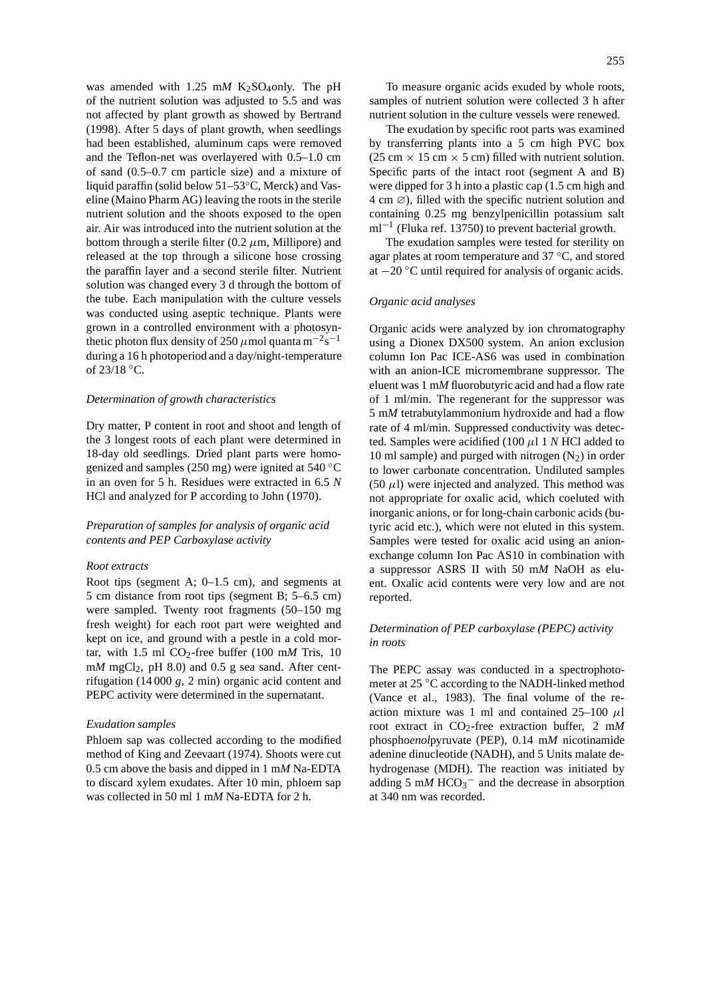was amended with  $1.25$  m*M* K<sub>2</sub>SO<sub>4</sub>only. The pH of the nutrient solution was adjusted to 5.5 and was not affected by plant growth as showed by Bertrand (1998). After 5 days of plant growth, when seedlings had been established, aluminum caps were removed and the Teflon-net was overlayered with 0.5–1.0 cm of sand (0.5–0.7 cm particle size) and a mixture of liquid paraffin (solid below 51–53◦C, Merck) and Vaseline (Maino Pharm AG) leaving the roots in the sterile nutrient solution and the shoots exposed to the open air. Air was introduced into the nutrient solution at the bottom through a sterile filter  $(0.2 \mu m,$  Millipore) and released at the top through a silicone hose crossing the paraffin layer and a second sterile filter. Nutrient solution was changed every 3 d through the bottom of the tube. Each manipulation with the culture vessels was conducted using aseptic technique. Plants were grown in a controlled environment with a photosynthetic photon flux density of 250  $\mu$ mol quanta m<sup>-2</sup>s<sup>-1</sup> during a 16 h photoperiod and a day/night-temperature of 23/18 ◦C.

#### *Determination of growth characteristics*

Dry matter, P content in root and shoot and length of the 3 longest roots of each plant were determined in 18-day old seedlings. Dried plant parts were homogenized and samples (250 mg) were ignited at 540 ◦C in an oven for 5 h. Residues were extracted in 6.5 *N* HCl and analyzed for P according to John (1970).

#### *Preparation of samples for analysis of organic acid contents and PEP Carboxylase activity*

#### *Root extracts*

Root tips (segment A; 0–1.5 cm), and segments at 5 cm distance from root tips (segment B; 5–6.5 cm) were sampled. Twenty root fragments (50–150 mg fresh weight) for each root part were weighted and kept on ice, and ground with a pestle in a cold mortar, with 1.5 ml CO<sub>2</sub>-free buffer (100 mM Tris, 10 m*M* mgCl<sub>2</sub>, pH 8.0) and 0.5 g sea sand. After centrifugation (14 000 *g*, 2 min) organic acid content and PEPC activity were determined in the supernatant.

#### *Exudation samples*

Phloem sap was collected according to the modified method of King and Zeevaart (1974). Shoots were cut 0.5 cm above the basis and dipped in 1 m*M* Na-EDTA to discard xylem exudates. After 10 min, phloem sap was collected in 50 ml 1 m*M* Na-EDTA for 2 h.

To measure organic acids exuded by whole roots, samples of nutrient solution were collected 3 h after nutrient solution in the culture vessels were renewed.

The exudation by specific root parts was examined by transferring plants into a 5 cm high PVC box (25 cm  $\times$  15 cm  $\times$  5 cm) filled with nutrient solution. Specific parts of the intact root (segment A and B) were dipped for 3 h into a plastic cap (1.5 cm high and  $4 \text{ cm } \varnothing$ ), filled with the specific nutrient solution and containing 0.25 mg benzylpenicillin potassium salt ml<sup>-1</sup> (Fluka ref. 13750) to prevent bacterial growth.

The exudation samples were tested for sterility on agar plates at room temperature and 37 ◦C, and stored at −20 ◦C until required for analysis of organic acids.

#### *Organic acid analyses*

Organic acids were analyzed by ion chromatography using a Dionex DX500 system. An anion exclusion column Ion Pac ICE-AS6 was used in combination with an anion-ICE micromembrane suppressor. The eluent was 1 m*M* fluorobutyric acid and had a flow rate of 1 ml/min. The regenerant for the suppressor was 5 m*M* tetrabutylammonium hydroxide and had a flow rate of 4 ml/min. Suppressed conductivity was detected. Samples were acidified (100  $\mu$ 1 1 *N* HCl added to 10 ml sample) and purged with nitrogen  $(N_2)$  in order to lower carbonate concentration. Undiluted samples  $(50 \mu l)$  were injected and analyzed. This method was not appropriate for oxalic acid, which coeluted with inorganic anions, or for long-chain carbonic acids (butyric acid etc.), which were not eluted in this system. Samples were tested for oxalic acid using an anionexchange column Ion Pac AS10 in combination with a suppressor ASRS II with 50 m*M* NaOH as eluent. Oxalic acid contents were very low and are not reported.

#### *Determination of PEP carboxylase (PEPC) activity in roots*

The PEPC assay was conducted in a spectrophotometer at 25 ◦C according to the NADH-linked method (Vance et al., 1983). The final volume of the reaction mixture was 1 ml and contained  $25-100 \mu$ l root extract in CO2-free extraction buffer, 2 m*M* phospho*enol*pyruvate (PEP), 0.14 m*M* nicotinamide adenine dinucleotide (NADH), and 5 Units malate dehydrogenase (MDH). The reaction was initiated by adding  $5 \text{ mM } HCO_3^-$  and the decrease in absorption at 340 nm was recorded.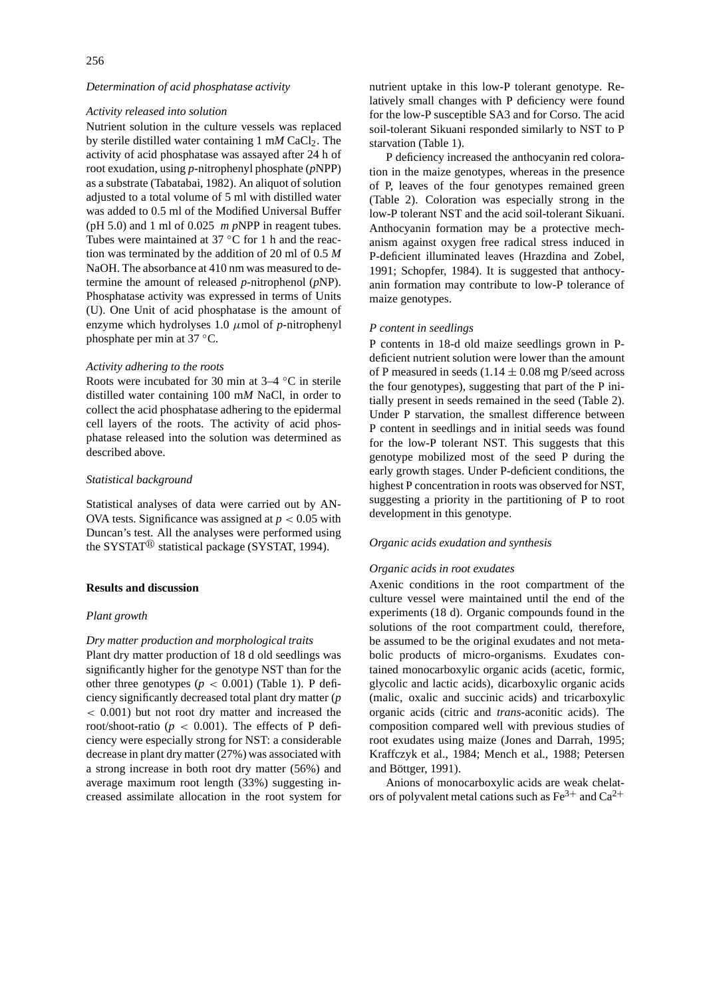#### *Determination of acid phosphatase activity*

#### *Activity released into solution*

Nutrient solution in the culture vessels was replaced by sterile distilled water containing 1 mM CaCl<sub>2</sub>. The activity of acid phosphatase was assayed after 24 h of root exudation, using *p*-nitrophenyl phosphate (*p*NPP) as a substrate (Tabatabai, 1982). An aliquot of solution adjusted to a total volume of 5 ml with distilled water was added to 0.5 ml of the Modified Universal Buffer (pH 5.0) and 1 ml of 0.025 *m p*NPP in reagent tubes. Tubes were maintained at 37 ◦C for 1 h and the reaction was terminated by the addition of 20 ml of 0.5 *M* NaOH. The absorbance at 410 nm was measured to determine the amount of released *p*-nitrophenol (*p*NP). Phosphatase activity was expressed in terms of Units (U). One Unit of acid phosphatase is the amount of enzyme which hydrolyses 1.0  $\mu$ mol of *p*-nitrophenyl phosphate per min at 37 ◦C.

#### *Activity adhering to the roots*

Roots were incubated for 30 min at 3–4 ◦C in sterile distilled water containing 100 m*M* NaCl, in order to collect the acid phosphatase adhering to the epidermal cell layers of the roots. The activity of acid phosphatase released into the solution was determined as described above.

#### *Statistical background*

Statistical analyses of data were carried out by AN-OVA tests. Significance was assigned at  $p < 0.05$  with Duncan's test. All the analyses were performed using the SYSTAT<sup>®</sup> statistical package (SYSTAT, 1994).

#### **Results and discussion**

#### *Plant growth*

#### *Dry matter production and morphological traits*

Plant dry matter production of 18 d old seedlings was significantly higher for the genotype NST than for the other three genotypes ( $p < 0.001$ ) (Table 1). P deficiency significantly decreased total plant dry matter (*p <* 0.001) but not root dry matter and increased the root/shoot-ratio ( $p < 0.001$ ). The effects of P deficiency were especially strong for NST: a considerable decrease in plant dry matter (27%) was associated with a strong increase in both root dry matter (56%) and average maximum root length (33%) suggesting increased assimilate allocation in the root system for nutrient uptake in this low-P tolerant genotype. Relatively small changes with P deficiency were found for the low-P susceptible SA3 and for Corso. The acid soil-tolerant Sikuani responded similarly to NST to P starvation (Table 1).

P deficiency increased the anthocyanin red coloration in the maize genotypes, whereas in the presence of P, leaves of the four genotypes remained green (Table 2). Coloration was especially strong in the low-P tolerant NST and the acid soil-tolerant Sikuani. Anthocyanin formation may be a protective mechanism against oxygen free radical stress induced in P-deficient illuminated leaves (Hrazdina and Zobel, 1991; Schopfer, 1984). It is suggested that anthocyanin formation may contribute to low-P tolerance of maize genotypes.

#### *P content in seedlings*

P contents in 18-d old maize seedlings grown in Pdeficient nutrient solution were lower than the amount of P measured in seeds  $(1.14 \pm 0.08 \text{ mg} \text{ P/seed across}$ the four genotypes), suggesting that part of the P initially present in seeds remained in the seed (Table 2). Under P starvation, the smallest difference between P content in seedlings and in initial seeds was found for the low-P tolerant NST. This suggests that this genotype mobilized most of the seed P during the early growth stages. Under P-deficient conditions, the highest P concentration in roots was observed for NST, suggesting a priority in the partitioning of P to root development in this genotype.

#### *Organic acids exudation and synthesis*

#### *Organic acids in root exudates*

Axenic conditions in the root compartment of the culture vessel were maintained until the end of the experiments (18 d). Organic compounds found in the solutions of the root compartment could, therefore, be assumed to be the original exudates and not metabolic products of micro-organisms. Exudates contained monocarboxylic organic acids (acetic, formic, glycolic and lactic acids), dicarboxylic organic acids (malic, oxalic and succinic acids) and tricarboxylic organic acids (citric and *trans*-aconitic acids). The composition compared well with previous studies of root exudates using maize (Jones and Darrah, 1995; Kraffczyk et al., 1984; Mench et al., 1988; Petersen and Böttger, 1991).

Anions of monocarboxylic acids are weak chelators of polyvalent metal cations such as  $Fe^{3+}$  and  $Ca^{2+}$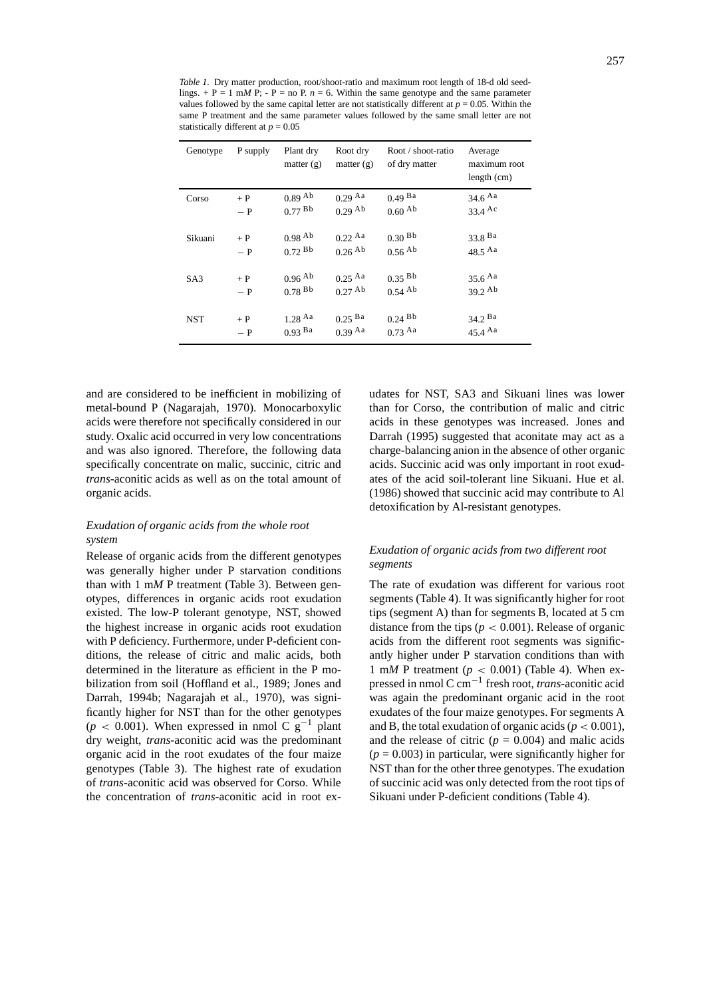*Table 1.* Dry matter production, root/shoot-ratio and maximum root length of 18-d old seedlings.  $+ P = 1$  m*M* P;  $- P =$  no P.  $n = 6$ . Within the same genotype and the same parameter values followed by the same capital letter are not statistically different at  $p = 0.05$ . Within the same P treatment and the same parameter values followed by the same small letter are not statistically different at  $p = 0.05$ 

| Genotype        | P supply | Plant dry<br>matter $(g)$ | Root dry<br>matter $(g)$ | Root / shoot-ratio<br>of dry matter | Average<br>maximum root<br>length (cm) |
|-----------------|----------|---------------------------|--------------------------|-------------------------------------|----------------------------------------|
| Corso           | $+P$     | 0.89 <sup>Ab</sup>        | $0.29$ Aa                | 0.49 Ba                             | $34.6$ <sup>Aa</sup>                   |
|                 | $- P$    | 0.77Bb                    | $0.29$ Ab                | $0.60$ Ab                           | 33.4 Ac                                |
| Sikuani         | $+P$     | $0.98$ Ab                 | $0.22$ Aa                | $0.30~^{\rm Bb}$                    | $33.8\,{}^{Ba}$                        |
|                 | $- P$    | 0.72 Bb                   | $0.26$ Ab                | $0.56$ Ab                           | 48.5 Aa                                |
| SA <sub>3</sub> | $+P$     | $0.96\,{}^{\rm Ab}$       | $0.25$ Aa                | 0.35 Bb                             | $35.6$ <sup>Aa</sup>                   |
|                 | $- P$    | $0.78$ $^{\rm Bb}$        | 0.27 A <sup>b</sup>      | $0.54$ Ab                           | 39.2 Ab                                |
| <b>NST</b>      | $+P$     | $1.28$ $^{\rm Aa}$        | $0.25~^{\mathrm{Ba}}$    | $0.24\;{\rm{B}}^{\rm{b}}$           | $34.2^{\, \mathrm{Ba}}$                |
|                 | $- P$    | 0.93 Ba                   | $0.39$ Aa                | $0.73$ Aa                           | $45.4$ Aa                              |

and are considered to be inefficient in mobilizing of metal-bound P (Nagarajah, 1970). Monocarboxylic acids were therefore not specifically considered in our study. Oxalic acid occurred in very low concentrations and was also ignored. Therefore, the following data specifically concentrate on malic, succinic, citric and *trans*-aconitic acids as well as on the total amount of organic acids.

#### *Exudation of organic acids from the whole root system*

Release of organic acids from the different genotypes was generally higher under P starvation conditions than with 1 m*M* P treatment (Table 3). Between genotypes, differences in organic acids root exudation existed. The low-P tolerant genotype, NST, showed the highest increase in organic acids root exudation with P deficiency. Furthermore, under P-deficient conditions, the release of citric and malic acids, both determined in the literature as efficient in the P mobilization from soil (Hoffland et al., 1989; Jones and Darrah, 1994b; Nagarajah et al., 1970), was significantly higher for NST than for the other genotypes  $(p < 0.001)$ . When expressed in nmol C g<sup>-1</sup> plant dry weight, *trans*-aconitic acid was the predominant organic acid in the root exudates of the four maize genotypes (Table 3). The highest rate of exudation of *trans*-aconitic acid was observed for Corso. While the concentration of *trans*-aconitic acid in root exudates for NST, SA3 and Sikuani lines was lower than for Corso, the contribution of malic and citric acids in these genotypes was increased. Jones and Darrah (1995) suggested that aconitate may act as a charge-balancing anion in the absence of other organic acids. Succinic acid was only important in root exudates of the acid soil-tolerant line Sikuani. Hue et al. (1986) showed that succinic acid may contribute to Al detoxification by Al-resistant genotypes.

#### *Exudation of organic acids from two different root segments*

The rate of exudation was different for various root segments (Table 4). It was significantly higher for root tips (segment A) than for segments B, located at 5 cm distance from the tips ( $p < 0.001$ ). Release of organic acids from the different root segments was significantly higher under P starvation conditions than with 1 m*M* P treatment ( $p < 0.001$ ) (Table 4). When expressed in nmol C cm−<sup>1</sup> fresh root, *trans*-aconitic acid was again the predominant organic acid in the root exudates of the four maize genotypes. For segments A and B, the total exudation of organic acids ( $p < 0.001$ ), and the release of citric  $(p = 0.004)$  and malic acids  $(p = 0.003)$  in particular, were significantly higher for NST than for the other three genotypes. The exudation of succinic acid was only detected from the root tips of Sikuani under P-deficient conditions (Table 4).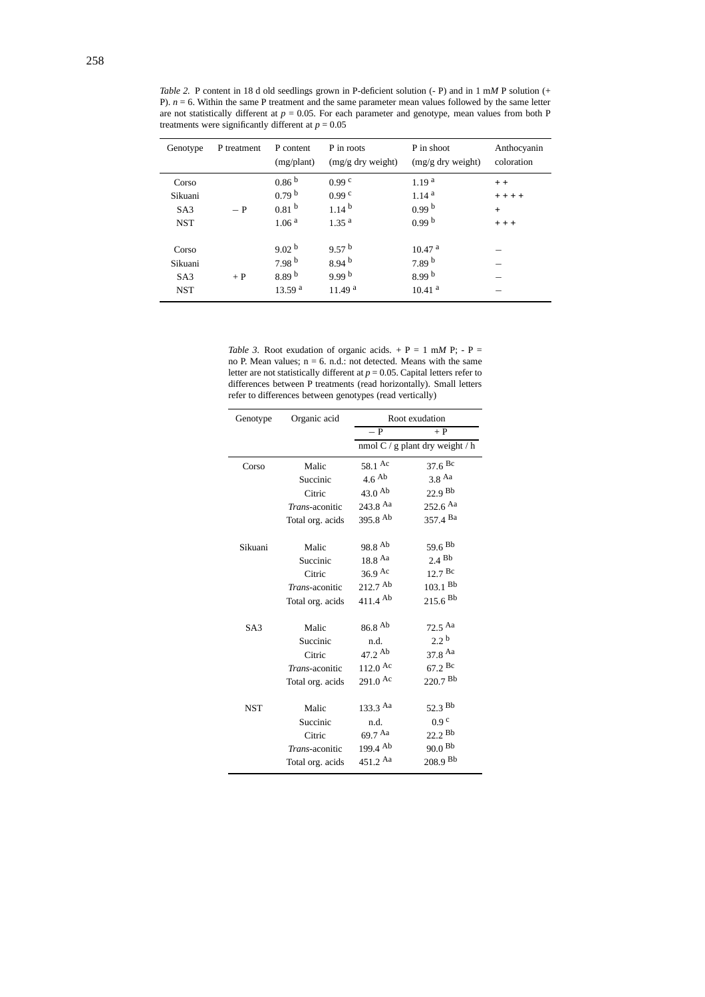*Table 2.* P content in 18 d old seedlings grown in P-deficient solution (- P) and in 1 m*M* P solution (+ P).  $n = 6$ . Within the same P treatment and the same parameter mean values followed by the same letter are not statistically different at  $p = 0.05$ . For each parameter and genotype, mean values from both P treatments were significantly different at  $p = 0.05$ 

| Genotype                                          | P treatment | P content<br>(mg/plant)                                                           | P in roots<br>$(mg/g$ dry weight)                                                | P in shoot<br>$(mg/g$ dry weight)                                                  | Anthocyanin<br>coloration          |
|---------------------------------------------------|-------------|-----------------------------------------------------------------------------------|----------------------------------------------------------------------------------|------------------------------------------------------------------------------------|------------------------------------|
| Corso<br>Sikuani<br>SA <sub>3</sub><br><b>NST</b> | $- P$       | 0.86 <sup>b</sup><br>0.79 <sup>b</sup><br>0.81 <sup>b</sup><br>1.06 <sup>a</sup>  | 0.99 <sup>c</sup><br>0.99 <sup>c</sup><br>1.14 <sup>b</sup><br>1.35 <sup>a</sup> | 1.19 <sup>a</sup><br>1.14 <sup>a</sup><br>0.99 <sup>b</sup><br>0.99 <sup>b</sup>   | $+ +$<br>$+ + + +$<br>$+$<br>$+++$ |
| Corso<br>Sikuani<br>SA <sub>3</sub><br><b>NST</b> | $+$ P       | 9.02 <sup>b</sup><br>7.98 <sup>b</sup><br>8.89 <sup>b</sup><br>13.59 <sup>a</sup> | 9.57 <sup>b</sup><br>8.94 <sup>b</sup><br>9.99 b<br>11.49 <sup>a</sup>           | 10.47 <sup>a</sup><br>7.89 <sup>b</sup><br>8.99 <sup>b</sup><br>10.41 <sup>a</sup> |                                    |

*Table 3.* Root exudation of organic acids. +  $P = 1$  mM P; -  $P =$ no P. Mean values;  $n = 6$ . n.d.: not detected. Means with the same letter are not statistically different at  $p = 0.05$ . Capital letters refer to differences between P treatments (read horizontally). Small letters refer to differences between genotypes (read vertically)

| Genotype         | Organic acid          | Root exudation       |                                   |
|------------------|-----------------------|----------------------|-----------------------------------|
|                  |                       | $- P$                | $+$ P                             |
|                  |                       |                      | nmol $C / g$ plant dry weight / h |
| Corso            | Malic                 | 58.1 Ac              | 37.6 <sup>BC</sup>                |
|                  | Succinic              | 4.6 <sup>Ab</sup>    | $3.8$ Aa                          |
|                  | Citric                | $43.0$ Ab            | 22.9 Bb                           |
|                  | Trans-aconitic        | 243.8 Aa             | 252.6 Aa                          |
|                  | Total org. acids      | 395.8 Ab             | 357.4 Ba                          |
| Sikuani          | Malic                 | 98.8 Ab              | 59.6 <sup>Bb</sup>                |
|                  | Succinic              | $18.8$ Aa            | 2.4 <sup>Bb</sup>                 |
|                  | Citric                | 36.9 Ac              | 12.7 <sup>BC</sup>                |
|                  | Trans-aconitic        | 212.7 Ab             | $103.1^{Bb}$                      |
|                  | Total org. acids      | 411.4 Ab             | $215.6^{Bb}$                      |
| SA <sub>3</sub>  | Malic                 | $86.8$ <sup>Ab</sup> | $72.5$ Aa                         |
|                  | Succinic              | n.d.                 | 2.2 <sup>b</sup>                  |
|                  | Citric                | 47.2 Ab              | 37.8 Aa                           |
|                  | <i>Trans-aconitic</i> | $112.0 \text{ Ac}$   | 67.2 Bc                           |
| Total org. acids |                       | $291.0$ Ac           | 220.7 Bb                          |
| <b>NST</b>       | Malic                 | 133.3 Aa             | 52.3 Bb                           |
|                  | Succinic              | n.d.                 | 0.9 <sup>c</sup>                  |
|                  | Citric                | 69.7 Aa              | 22.2 Bb                           |
|                  | Trans-aconitic        | 199.4 <sup>Ab</sup>  | 90.0 <sup>Bb</sup>                |
|                  | Total org. acids      | 451.2 Aa             | $208.9^{Bb}$                      |

L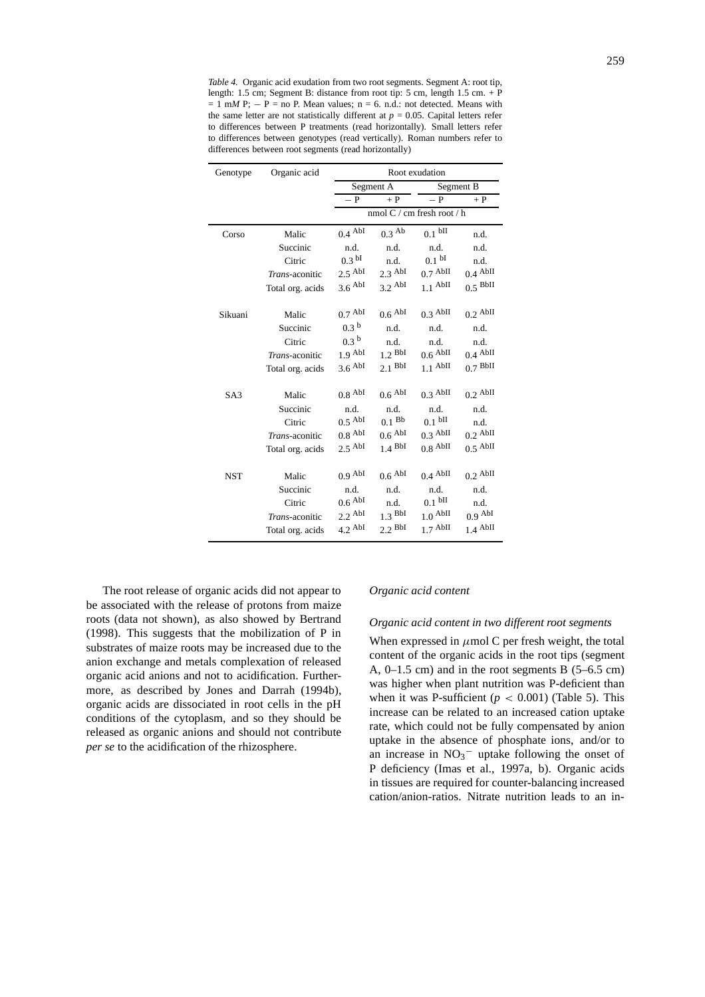*Table 4.* Organic acid exudation from two root segments. Segment A: root tip, length: 1.5 cm; Segment B: distance from root tip: 5 cm, length 1.5 cm. + P  $= 1$  m*M* P;  $-$  P = no P. Mean values; n = 6. n.d.: not detected. Means with the same letter are not statistically different at  $p = 0.05$ . Capital letters refer to differences between P treatments (read horizontally). Small letters refer to differences between genotypes (read vertically). Roman numbers refer to differences between root segments (read horizontally)

| Organic acid<br>Genotype |                  | Root exudation     |                     |                               |                       |
|--------------------------|------------------|--------------------|---------------------|-------------------------------|-----------------------|
|                          |                  |                    | Segment A           |                               | Segment B             |
|                          |                  | $- P$              | $+P$                | $- P$                         | $+$ P                 |
|                          |                  |                    |                     | nmol $C / cm$ fresh root $/h$ |                       |
| Corso                    | Malic            | $0.4$ AbI          | $0.3$ <sup>Ab</sup> | $0.1$ bII                     | n.d.                  |
|                          | Succinic         | n.d.               | n.d.                | n.d.                          | n.d.                  |
|                          | Citric           | 0.3 <sup>bI</sup>  | n.d.                | $0.1~^{\mathrm{bI}}$          | n.d.                  |
|                          | Trans-aconitic   | $2.5$ AbI          | $2.3$ AbI           | $0.7$ AbII                    | $0.4$ AbII            |
|                          | Total org. acids | $3.6$ AbI          | $3.2$ AbI           | $1.1$ AbII                    | $0.5$ <sup>BbII</sup> |
| Sikuani                  | Malic            | $0.7$ AbI          | $0.6$ AbI           | $0.3$ AbII                    | $0.2$ AbII            |
|                          | Succinic         | 0.3 <sup>b</sup>   | n.d.                | n.d.                          | n.d.                  |
|                          | Citric           | 0.3 <sup>b</sup>   | n.d.                | n.d.                          | n.d.                  |
|                          | Trans-aconitic   | $1.9$ AbI          | $1.2$ BbI           | $0.6$ AbII                    | $0.4$ AbII            |
|                          | Total org. acids | 3.6 <sup>AbI</sup> | 2.1 <sup>BbI</sup>  | $1.1$ AbII                    | 0.7 <sup>BbII</sup>   |
| SA3                      | Malic            | $0.8$ AbI          | $0.6$ AbI           | $0.3$ AbII                    | $0.2$ AbII            |
|                          | Succinic         | n.d.               | n.d.                | n.d.                          | n.d.                  |
|                          | Citric           | $0.5$ AbI          | 0.1 <sup>Bb</sup>   | $0.1 h$ <sup>bII</sup>        | n.d.                  |
|                          | Trans-aconitic   | $0.8$ AbI          | 0.6 <sup>AbI</sup>  | $0.3$ AbII                    | $0.2$ AbII            |
|                          | Total org. acids | $2.5$ AbI          | 1.4 <sup>BbI</sup>  | $0.8$ AbII                    | $0.5$ AbII            |
| <b>NST</b>               | Malic            | 0.9 <sup>AbI</sup> | 0.6 <sup>AbI</sup>  | $0.4$ AbII                    | $0.2$ AbII            |
|                          | Succinic         | n.d.               | n.d.                | n.d.                          | n.d.                  |
|                          | Citric           | $0.6$ AbI          | n.d.                | $0.1~^{\mathrm{bH}}$          | n.d.                  |
|                          | Trans-aconitic   | $2.2$ AbI          | $1.3$ BbI           | 1.0 <sup>AbII</sup>           | 0.9 <sup>AbI</sup>    |
|                          | Total org. acids | $4.2$ AbI          | $2.2$ BbI           | $1.7$ AbII                    | $1.4$ AbII            |

The root release of organic acids did not appear to be associated with the release of protons from maize roots (data not shown), as also showed by Bertrand (1998). This suggests that the mobilization of P in substrates of maize roots may be increased due to the anion exchange and metals complexation of released organic acid anions and not to acidification. Furthermore, as described by Jones and Darrah (1994b), organic acids are dissociated in root cells in the pH conditions of the cytoplasm, and so they should be released as organic anions and should not contribute *per se* to the acidification of the rhizosphere.

#### *Organic acid content*

#### *Organic acid content in two different root segments*

When expressed in  $\mu$ mol C per fresh weight, the total content of the organic acids in the root tips (segment A, 0–1.5 cm) and in the root segments B (5–6.5 cm) was higher when plant nutrition was P-deficient than when it was P-sufficient ( $p < 0.001$ ) (Table 5). This increase can be related to an increased cation uptake rate, which could not be fully compensated by anion uptake in the absence of phosphate ions, and/or to an increase in  $NO_3$ <sup>-</sup> uptake following the onset of P deficiency (Imas et al., 1997a, b). Organic acids in tissues are required for counter-balancing increased cation/anion-ratios. Nitrate nutrition leads to an in-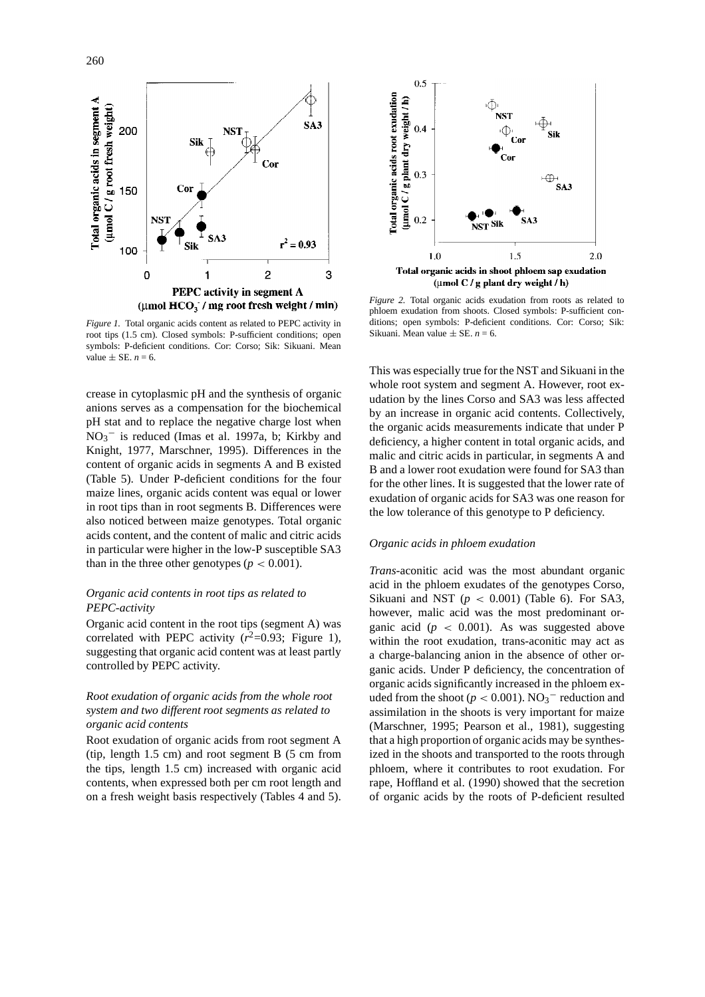

*Figure 1.* Total organic acids content as related to PEPC activity in root tips (1.5 cm). Closed symbols: P-sufficient conditions; open symbols: P-deficient conditions. Cor: Corso; Sik: Sikuani. Mean value  $\pm$  SE.  $n = 6$ .

crease in cytoplasmic pH and the synthesis of organic anions serves as a compensation for the biochemical pH stat and to replace the negative charge lost when  $NO<sub>3</sub><sup>-</sup>$  is reduced (Imas et al. 1997a, b; Kirkby and Knight, 1977, Marschner, 1995). Differences in the content of organic acids in segments A and B existed (Table 5). Under P-deficient conditions for the four maize lines, organic acids content was equal or lower in root tips than in root segments B. Differences were also noticed between maize genotypes. Total organic acids content, and the content of malic and citric acids in particular were higher in the low-P susceptible SA3 than in the three other genotypes ( $p < 0.001$ ).

#### *Organic acid contents in root tips as related to PEPC-activity*

Organic acid content in the root tips (segment A) was correlated with PEPC activity  $(r^2=0.93;$  Figure 1), suggesting that organic acid content was at least partly controlled by PEPC activity.

#### *Root exudation of organic acids from the whole root system and two different root segments as related to organic acid contents*

Root exudation of organic acids from root segment A (tip, length 1.5 cm) and root segment B (5 cm from the tips, length 1.5 cm) increased with organic acid contents, when expressed both per cm root length and on a fresh weight basis respectively (Tables 4 and 5).



*Figure 2.* Total organic acids exudation from roots as related to phloem exudation from shoots. Closed symbols: P-sufficient conditions; open symbols: P-deficient conditions. Cor: Corso; Sik: Sikuani. Mean value  $\pm$  SE,  $n = 6$ .

This was especially true for the NST and Sikuani in the whole root system and segment A. However, root exudation by the lines Corso and SA3 was less affected by an increase in organic acid contents. Collectively, the organic acids measurements indicate that under P deficiency, a higher content in total organic acids, and malic and citric acids in particular, in segments A and B and a lower root exudation were found for SA3 than for the other lines. It is suggested that the lower rate of exudation of organic acids for SA3 was one reason for the low tolerance of this genotype to P deficiency.

#### *Organic acids in phloem exudation*

*Trans*-aconitic acid was the most abundant organic acid in the phloem exudates of the genotypes Corso, Sikuani and NST  $(p < 0.001)$  (Table 6). For SA3, however, malic acid was the most predominant organic acid  $(p < 0.001)$ . As was suggested above within the root exudation, trans-aconitic may act as a charge-balancing anion in the absence of other organic acids. Under P deficiency, the concentration of organic acids significantly increased in the phloem exuded from the shoot ( $p < 0.001$ ).  $NO<sub>3</sub><sup>-</sup>$  reduction and assimilation in the shoots is very important for maize (Marschner, 1995; Pearson et al., 1981), suggesting that a high proportion of organic acids may be synthesized in the shoots and transported to the roots through phloem, where it contributes to root exudation. For rape, Hoffland et al. (1990) showed that the secretion of organic acids by the roots of P-deficient resulted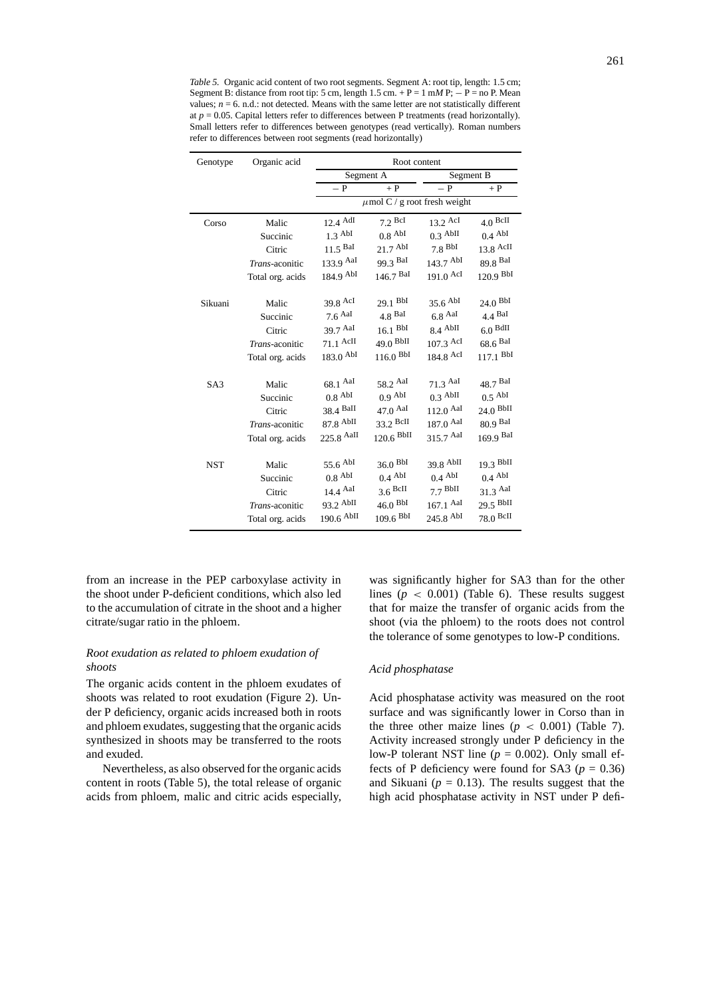*Table 5.* Organic acid content of two root segments. Segment A: root tip, length: 1.5 cm; Segment B: distance from root tip: 5 cm, length 1.5 cm. + P = 1 m*M* P; − P = no P. Mean values;  $n = 6$ . n.d.: not detected. Means with the same letter are not statistically different at  $p = 0.05$ . Capital letters refer to differences between P treatments (read horizontally). Small letters refer to differences between genotypes (read vertically). Roman numbers refer to differences between root segments (read horizontally)

| Genotype         | Organic acid     | Root content              |                                   |                      |                                     |
|------------------|------------------|---------------------------|-----------------------------------|----------------------|-------------------------------------|
|                  |                  | Segment A                 |                                   | Segment B            |                                     |
|                  |                  | $- P$                     | $+P$                              | $- P$                | $+ \overline{P}$                    |
|                  |                  |                           | $\mu$ mol C / g root fresh weight |                      |                                     |
| Corso            | Malic            | $12.4$ AdI                | $7.2$ BcI                         | $13.2$ AcI           | $4.0 \text{ }^{\text{BeII}}$        |
|                  | Succinic         | $1.3$ AbI                 | $0.8$ AbI                         | $0.3$ AbII           | $0.4$ AbI                           |
|                  | Citric           | $11.5~^{\mathrm{BaI}}$    | $21.7$ AbI                        | $7.8$ BbI            | $13.8$ AcII                         |
|                  | Trans-aconitic   | 133.9 AaI                 | 99.3 BaI                          | 143.7 AbI            | 89.8 BaI                            |
|                  | Total org. acids | 184.9 AbI                 | 146.7 BaI                         | $191.0$ AcI          | 120.9 <sup>BbI</sup>                |
| Sikuani          | Malic            | 39.8 AcI                  | $29.1$ BbI                        | 35.6 AbI             | $24.0$ $^{\rm BbI}$                 |
|                  | Succinic         | $7.6$ $^{\rm{AaI}}$       | $4.8~\mathrm{BaI}$                | $6.8~^{\rm{AaI}}$    | $4.4~\mathrm{BaI}$                  |
|                  | Citric           | 39.7 AaI                  | $16.1$ BbI                        | $8.4$ AbII           | $6.0$ BdII                          |
|                  | Trans-aconitic   | $71.1$ AcII               | 49.0 BbII                         | $107.3$ AcI          | $68.6$ $^{\mbox{\scriptsize{BaI}}}$ |
|                  | Total org. acids | 183.0 AbI                 | $116.0$ BbI                       | 184.8 AcI            | $117.1$ BbI                         |
| SA3              | Malic            | $68.1\;\mbox{AaI}$        | 58.2 AaI                          | 71.3 AaI             | $48.7~\mathrm{BaI}$                 |
|                  | Succinic         | $0.8\;^{\rm AbI}$         | $0.9$ AbI                         | $0.3$ AbII           | $0.5$ AbI                           |
|                  | Citric           | $38.4$ $^{\mathrm{Ball}}$ | $47.0$ AaI                        | $112.0$ AaI          | $24.0$ BbII                         |
|                  | Trans-aconitic   | $87.8$ AbII               | 33.2 BcII                         | $187.0$ AaI          | $80.9$ $^{\mathrm{BaI}}$            |
|                  | Total org. acids | 225.8 AaII                | $120.6$ BbII                      | $315.7$ AaI          | 169.9 BaI                           |
| <b>NST</b>       | Malic            | $55.6$ $^{\rm AbI}$       | 36.0 BbI                          | 39.8 AbII            | 19.3 BbII                           |
|                  | Succinic         | $0.8~^{\rm AbI}$          | $0.4$ AbI                         | $0.4$ AbI            | $0.4$ AbI                           |
|                  | Citric           | $14.4$ $\mbox{Aal}$       | $3.6$ BcII                        | 7.7 B <sub>blI</sub> | 31.3 AaI                            |
|                  | Trans-aconitic   | 93.2 AbII                 | $46.0$ $^{\rm BbI}$               | $167.1$ AaI          | 29.5 BbII                           |
| Total org. acids |                  | $190.6$ $^{\rm AbII}$     | $109.6$ <sup>BbI</sup>            | 245.8 AbI            | $78.0$ BcII                         |

from an increase in the PEP carboxylase activity in the shoot under P-deficient conditions, which also led to the accumulation of citrate in the shoot and a higher citrate/sugar ratio in the phloem.

#### *Root exudation as related to phloem exudation of shoots*

The organic acids content in the phloem exudates of shoots was related to root exudation (Figure 2). Under P deficiency, organic acids increased both in roots and phloem exudates, suggesting that the organic acids synthesized in shoots may be transferred to the roots and exuded.

Nevertheless, as also observed for the organic acids content in roots (Table 5), the total release of organic acids from phloem, malic and citric acids especially,

was significantly higher for SA3 than for the other lines  $(p < 0.001)$  (Table 6). These results suggest that for maize the transfer of organic acids from the shoot (via the phloem) to the roots does not control the tolerance of some genotypes to low-P conditions.

#### *Acid phosphatase*

Acid phosphatase activity was measured on the root surface and was significantly lower in Corso than in the three other maize lines  $(p < 0.001)$  (Table 7). Activity increased strongly under P deficiency in the low-P tolerant NST line ( $p = 0.002$ ). Only small effects of P deficiency were found for SA3 ( $p = 0.36$ ) and Sikuani ( $p = 0.13$ ). The results suggest that the high acid phosphatase activity in NST under P defi-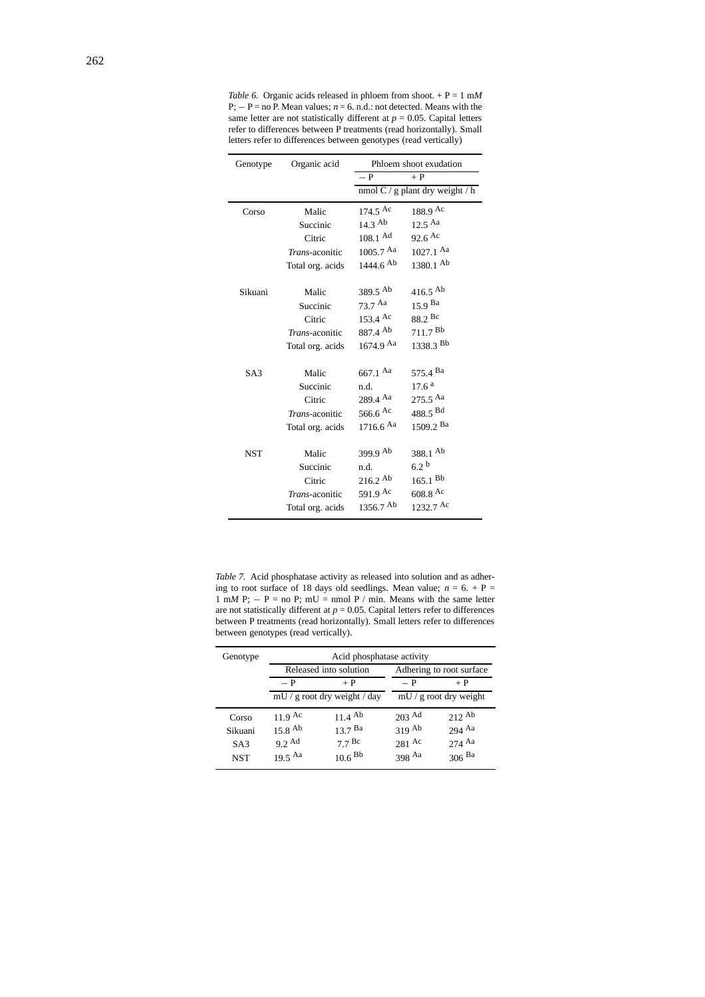*Table 6.* Organic acids released in phloem from shoot.  $+P = 1$  mM P; − P = no P. Mean values; *n* = 6. n.d.: not detected. Means with the same letter are not statistically different at  $p = 0.05$ . Capital letters refer to differences between P treatments (read horizontally). Small letters refer to differences between genotypes (read vertically)

| Genotype        | Organic acid          | Phloem shoot exudation |                                   |
|-----------------|-----------------------|------------------------|-----------------------------------|
|                 |                       | $- P$                  | $+$ P                             |
|                 |                       |                        | nmol $C / g$ plant dry weight / h |
| Corso           | Malic                 | 174.5 Ac               | 188.9 Ac                          |
|                 | Succinic              | $14.3$ Ab              | 12.5 <sup>Aa</sup>                |
|                 | Citric                | $108.1$ Ad             | $92.6$ Ac                         |
|                 | Trans-aconitic        | $1005.7$ Aa            | 1027.1 Aa                         |
|                 | Total org. acids      | $1444.6$ <sup>Ab</sup> | 1380.1 Ab                         |
| Sikuani         | Malic                 | 389.5 Ab               | $416.5$ Ab                        |
|                 | Succinic              | 73 7 Aa                | 15.9 Ba                           |
|                 | Citric                | $153.4 \text{ Ac}$     | 88.2 Bc                           |
|                 | <i>Trans-aconitic</i> | 887.4 Ab               | 711.7 Bb                          |
|                 | Total org. acids      | $1674.9$ Aa            | 1338.3 Bb                         |
| SA <sub>3</sub> | Malic                 | 667.1 Aa               | 575.4 Ba                          |
|                 | Succinic              | n.d.                   | 17.6 <sup>a</sup>                 |
|                 | Citric                | 289.4 Aa               | 275.5 Aa                          |
|                 | Trans-aconitic        | 566.6 Ac               | 488.5 Bd                          |
|                 | Total org. acids      | $1716.6$ <sup>Aa</sup> | 1509.2 Ba                         |
| <b>NST</b>      | Malic                 | 399.9 Ab               | 388.1 Ab                          |
|                 | Succinic              | n.d.                   | 6.2 <sup>b</sup>                  |
|                 | Citric                | $216.2^{Ab}$           | 165.1 <sup> Bb</sup>              |
|                 | <i>Trans-aconitic</i> | 591.9 Ac               | $608.8$ Ac                        |
|                 | Total org. acids      | $1356.7$ <sup>Ab</sup> | 1232.7 Ac                         |

*Table 7.* Acid phosphatase activity as released into solution and as adhering to root surface of 18 days old seedlings. Mean value;  $n = 6 + P =$  $1 \text{ mM P}$ ; − P = no P; mU = nmol P / min. Means with the same letter are not statistically different at  $p = 0.05$ . Capital letters refer to differences between P treatments (read horizontally). Small letters refer to differences between genotypes (read vertically).

| Genotype   | Acid phosphatase activity      |                    |                          |          |  |
|------------|--------------------------------|--------------------|--------------------------|----------|--|
|            | Released into solution         |                    | Adhering to root surface |          |  |
|            | — P<br>$+$ P                   |                    | $- P$                    | $+$ P    |  |
|            | $mU / g$ root dry weight / day |                    | $mU / g$ root dry weight |          |  |
| Corso      | $11.9$ Ac                      | $11.4$ Ab          | $203$ Ad                 | $212$ Ab |  |
| Sikuani    | $15.8$ <sup>Ab</sup>           | 13.7 <sup>Ba</sup> | $319$ <sup>Ab</sup>      | $294$ Aa |  |
| SA3        | $9.2$ Ad                       | 77Bc               | $281$ Ac                 | $274$ Aa |  |
| <b>NST</b> | $19.5$ Aa                      | $10.6^{Bb}$        | 398 Aa                   | $306$ Ba |  |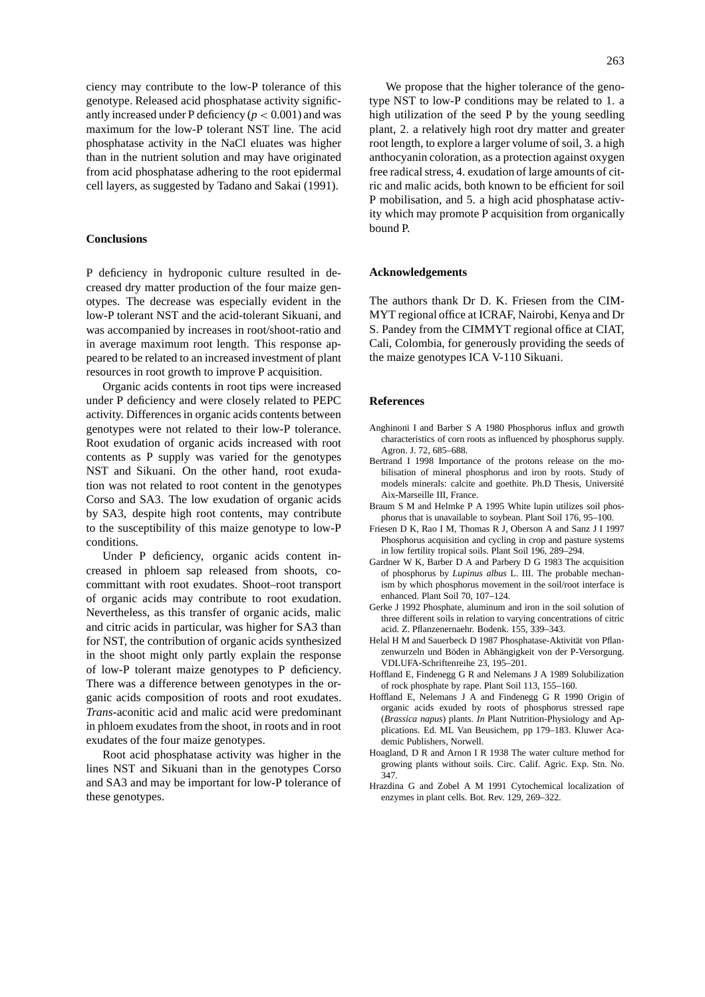ciency may contribute to the low-P tolerance of this genotype. Released acid phosphatase activity significantly increased under P deficiency  $(p < 0.001)$  and was maximum for the low-P tolerant NST line. The acid phosphatase activity in the NaCl eluates was higher than in the nutrient solution and may have originated from acid phosphatase adhering to the root epidermal cell layers, as suggested by Tadano and Sakai (1991).

#### **Conclusions**

P deficiency in hydroponic culture resulted in decreased dry matter production of the four maize genotypes. The decrease was especially evident in the low-P tolerant NST and the acid-tolerant Sikuani, and was accompanied by increases in root/shoot-ratio and in average maximum root length. This response appeared to be related to an increased investment of plant resources in root growth to improve P acquisition.

Organic acids contents in root tips were increased under P deficiency and were closely related to PEPC activity. Differences in organic acids contents between genotypes were not related to their low-P tolerance. Root exudation of organic acids increased with root contents as P supply was varied for the genotypes NST and Sikuani. On the other hand, root exudation was not related to root content in the genotypes Corso and SA3. The low exudation of organic acids by SA3, despite high root contents, may contribute to the susceptibility of this maize genotype to low-P conditions.

Under P deficiency, organic acids content increased in phloem sap released from shoots, cocommittant with root exudates. Shoot–root transport of organic acids may contribute to root exudation. Nevertheless, as this transfer of organic acids, malic and citric acids in particular, was higher for SA3 than for NST, the contribution of organic acids synthesized in the shoot might only partly explain the response of low-P tolerant maize genotypes to P deficiency. There was a difference between genotypes in the organic acids composition of roots and root exudates. *Trans*-aconitic acid and malic acid were predominant in phloem exudates from the shoot, in roots and in root exudates of the four maize genotypes.

Root acid phosphatase activity was higher in the lines NST and Sikuani than in the genotypes Corso and SA3 and may be important for low-P tolerance of these genotypes.

We propose that the higher tolerance of the genotype NST to low-P conditions may be related to 1. a high utilization of the seed P by the young seedling plant, 2. a relatively high root dry matter and greater root length, to explore a larger volume of soil, 3. a high anthocyanin coloration, as a protection against oxygen free radical stress, 4. exudation of large amounts of citric and malic acids, both known to be efficient for soil P mobilisation, and 5. a high acid phosphatase activity which may promote P acquisition from organically bound P.

#### **Acknowledgements**

The authors thank Dr D. K. Friesen from the CIM-MYT regional office at ICRAF, Nairobi, Kenya and Dr S. Pandey from the CIMMYT regional office at CIAT, Cali, Colombia, for generously providing the seeds of the maize genotypes ICA V-110 Sikuani.

#### **References**

- Anghinoni I and Barber S A 1980 Phosphorus influx and growth characteristics of corn roots as influenced by phosphorus supply. Agron. J. 72, 685–688.
- Bertrand I 1998 Importance of the protons release on the mobilisation of mineral phosphorus and iron by roots. Study of models minerals: calcite and goethite. Ph.D Thesis, Université Aix-Marseille III, France.
- Braum S M and Helmke P A 1995 White lupin utilizes soil phosphorus that is unavailable to soybean. Plant Soil 176, 95–100.
- Friesen D K, Rao I M, Thomas R J, Oberson A and Sanz J I 1997 Phosphorus acquisition and cycling in crop and pasture systems in low fertility tropical soils. Plant Soil 196, 289–294.
- Gardner W K, Barber D A and Parbery D G 1983 The acquisition of phosphorus by *Lupinus albus* L. III. The probable mechanism by which phosphorus movement in the soil/root interface is enhanced. Plant Soil 70, 107–124.
- Gerke J 1992 Phosphate, aluminum and iron in the soil solution of three different soils in relation to varying concentrations of citric acid. Z. Pflanzenernaehr. Bodenk. 155, 339–343.
- Helal H M and Sauerbeck D 1987 Phosphatase-Aktivität von Pflanzenwurzeln und Böden in Abhängigkeit von der P-Versorgung. VDLUFA-Schriftenreihe 23, 195–201.
- Hoffland E, Findenegg G R and Nelemans J A 1989 Solubilization of rock phosphate by rape. Plant Soil 113, 155–160.
- Hoffland E, Nelemans J A and Findenegg G R 1990 Origin of organic acids exuded by roots of phosphorus stressed rape (*Brassica napus*) plants. *In* Plant Nutrition-Physiology and Applications. Ed. ML Van Beusichem, pp 179–183. Kluwer Academic Publishers, Norwell.
- Hoagland, D R and Arnon I R 1938 The water culture method for growing plants without soils. Circ. Calif. Agric. Exp. Stn. No. 347.
- Hrazdina G and Zobel A M 1991 Cytochemical localization of enzymes in plant cells. Bot. Rev. 129, 269–322.